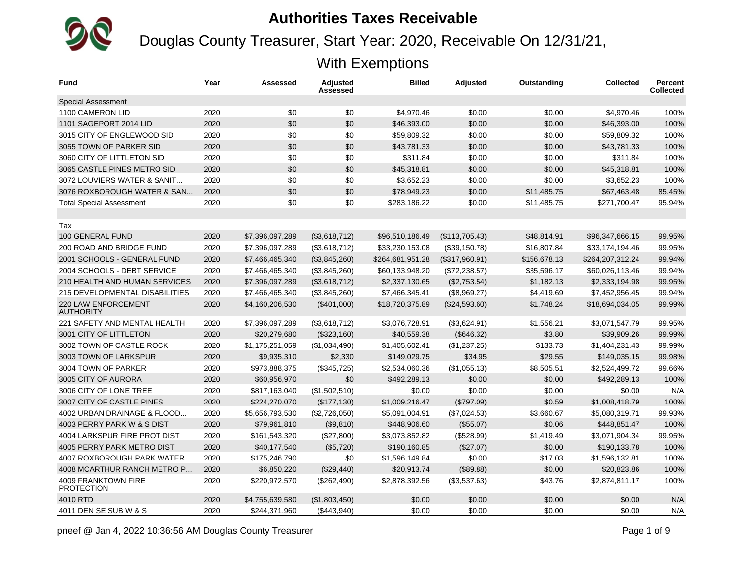Douglas County Treasurer, Start Year: 2020, Receivable On 12/31/21,

| <b>Fund</b>                                     | Year | Assessed        | <b>Adjusted</b><br>Assessed | <b>Billed</b>    | <b>Adjusted</b> | Outstanding  | <b>Collected</b> | <b>Percent</b><br><b>Collected</b> |
|-------------------------------------------------|------|-----------------|-----------------------------|------------------|-----------------|--------------|------------------|------------------------------------|
| <b>Special Assessment</b>                       |      |                 |                             |                  |                 |              |                  |                                    |
| 1100 CAMERON LID                                | 2020 | \$0             | \$0                         | \$4,970.46       | \$0.00          | \$0.00       | \$4,970.46       | 100%                               |
| 1101 SAGEPORT 2014 LID                          | 2020 | \$0             | \$0                         | \$46,393.00      | \$0.00          | \$0.00       | \$46,393.00      | 100%                               |
| 3015 CITY OF ENGLEWOOD SID                      | 2020 | \$0             | \$0                         | \$59,809.32      | \$0.00          | \$0.00       | \$59,809.32      | 100%                               |
| 3055 TOWN OF PARKER SID                         | 2020 | \$0             | \$0                         | \$43,781.33      | \$0.00          | \$0.00       | \$43,781.33      | 100%                               |
| 3060 CITY OF LITTLETON SID                      | 2020 | \$0             | \$0                         | \$311.84         | \$0.00          | \$0.00       | \$311.84         | 100%                               |
| 3065 CASTLE PINES METRO SID                     | 2020 | \$0             | \$0                         | \$45,318.81      | \$0.00          | \$0.00       | \$45,318.81      | 100%                               |
| 3072 LOUVIERS WATER & SANIT                     | 2020 | \$0             | \$0                         | \$3,652.23       | \$0.00          | \$0.00       | \$3,652.23       | 100%                               |
| 3076 ROXBOROUGH WATER & SAN                     | 2020 | \$0             | \$0                         | \$78,949.23      | \$0.00          | \$11,485.75  | \$67,463.48      | 85.45%                             |
| <b>Total Special Assessment</b>                 | 2020 | \$0             | \$0                         | \$283,186.22     | \$0.00          | \$11,485.75  | \$271,700.47     | 95.94%                             |
|                                                 |      |                 |                             |                  |                 |              |                  |                                    |
| Tax                                             |      |                 |                             |                  |                 |              |                  |                                    |
| 100 GENERAL FUND                                | 2020 | \$7,396,097,289 | (\$3,618,712)               | \$96,510,186.49  | (\$113,705.43)  | \$48.814.91  | \$96,347,666.15  | 99.95%                             |
| 200 ROAD AND BRIDGE FUND                        | 2020 | \$7,396,097,289 | (\$3,618,712)               | \$33,230,153.08  | (\$39,150.78)   | \$16,807.84  | \$33,174,194.46  | 99.95%                             |
| 2001 SCHOOLS - GENERAL FUND                     | 2020 | \$7,466,465,340 | (\$3,845,260)               | \$264,681,951.28 | (\$317,960.91)  | \$156,678.13 | \$264,207,312.24 | 99.94%                             |
| 2004 SCHOOLS - DEBT SERVICE                     | 2020 | \$7,466,465,340 | (\$3,845,260)               | \$60,133,948.20  | (\$72,238.57)   | \$35,596.17  | \$60,026,113.46  | 99.94%                             |
| 210 HEALTH AND HUMAN SERVICES                   | 2020 | \$7,396,097,289 | (\$3,618,712)               | \$2,337,130.65   | (\$2,753.54)    | \$1,182.13   | \$2,333,194.98   | 99.95%                             |
| 215 DEVELOPMENTAL DISABILITIES                  | 2020 | \$7,466,465,340 | (\$3,845,260)               | \$7,466,345.41   | (\$8,969.27)    | \$4,419.69   | \$7,452,956.45   | 99.94%                             |
| <b>220 LAW ENFORCEMENT</b><br><b>AUTHORITY</b>  | 2020 | \$4,160,206,530 | (\$401,000)                 | \$18,720,375.89  | (\$24,593.60)   | \$1,748.24   | \$18,694,034.05  | 99.99%                             |
| 221 SAFETY AND MENTAL HEALTH                    | 2020 | \$7,396,097,289 | (\$3,618,712)               | \$3,076,728.91   | (\$3,624.91)    | \$1,556.21   | \$3,071,547.79   | 99.95%                             |
| 3001 CITY OF LITTLETON                          | 2020 | \$20,279,680    | (\$323,160)                 | \$40,559.38      | (\$646.32)      | \$3.80       | \$39,909.26      | 99.99%                             |
| 3002 TOWN OF CASTLE ROCK                        | 2020 | \$1,175,251,059 | (\$1,034,490)               | \$1,405,602.41   | (\$1,237.25)    | \$133.73     | \$1,404,231.43   | 99.99%                             |
| 3003 TOWN OF LARKSPUR                           | 2020 | \$9,935,310     | \$2,330                     | \$149,029.75     | \$34.95         | \$29.55      | \$149,035.15     | 99.98%                             |
| 3004 TOWN OF PARKER                             | 2020 | \$973,888,375   | (\$345,725)                 | \$2,534,060.36   | (\$1,055.13)    | \$8,505.51   | \$2,524,499.72   | 99.66%                             |
| 3005 CITY OF AURORA                             | 2020 | \$60,956,970    | \$0                         | \$492,289.13     | \$0.00          | \$0.00       | \$492,289.13     | 100%                               |
| 3006 CITY OF LONE TREE                          | 2020 | \$817,163,040   | (\$1,502,510)               | \$0.00           | \$0.00          | \$0.00       | \$0.00           | N/A                                |
| 3007 CITY OF CASTLE PINES                       | 2020 | \$224,270,070   | (\$177,130)                 | \$1,009,216.47   | (\$797.09)      | \$0.59       | \$1,008,418.79   | 100%                               |
| 4002 URBAN DRAINAGE & FLOOD                     | 2020 | \$5,656,793,530 | (\$2,726,050)               | \$5,091,004.91   | (\$7,024.53)    | \$3,660.67   | \$5,080,319.71   | 99.93%                             |
| 4003 PERRY PARK W & S DIST                      | 2020 | \$79,961,810    | (\$9,810)                   | \$448,906.60     | (\$55.07)       | \$0.06       | \$448,851.47     | 100%                               |
| 4004 LARKSPUR FIRE PROT DIST                    | 2020 | \$161,543,320   | (\$27,800)                  | \$3,073,852.82   | (\$528.99)      | \$1,419.49   | \$3,071,904.34   | 99.95%                             |
| 4005 PERRY PARK METRO DIST                      | 2020 | \$40,177,540    | (\$5,720)                   | \$190,160.85     | (\$27.07)       | \$0.00       | \$190,133.78     | 100%                               |
| 4007 ROXBOROUGH PARK WATER                      | 2020 | \$175,246,790   | \$0                         | \$1,596,149.84   | \$0.00          | \$17.03      | \$1,596,132.81   | 100%                               |
| 4008 MCARTHUR RANCH METRO P                     | 2020 | \$6,850,220     | (\$29,440)                  | \$20,913.74      | (\$89.88)       | \$0.00       | \$20,823.86      | 100%                               |
| <b>4009 FRANKTOWN FIRE</b><br><b>PROTECTION</b> | 2020 | \$220,972,570   | (\$262,490)                 | \$2,878,392.56   | (\$3,537.63)    | \$43.76      | \$2,874,811.17   | 100%                               |
| 4010 RTD                                        | 2020 | \$4,755,639,580 | (\$1,803,450)               | \$0.00           | \$0.00          | \$0.00       | \$0.00           | N/A                                |
| 4011 DEN SE SUB W & S                           | 2020 | \$244.371.960   | (\$443,940)                 | \$0.00           | \$0.00          | \$0.00       | \$0.00           | N/A                                |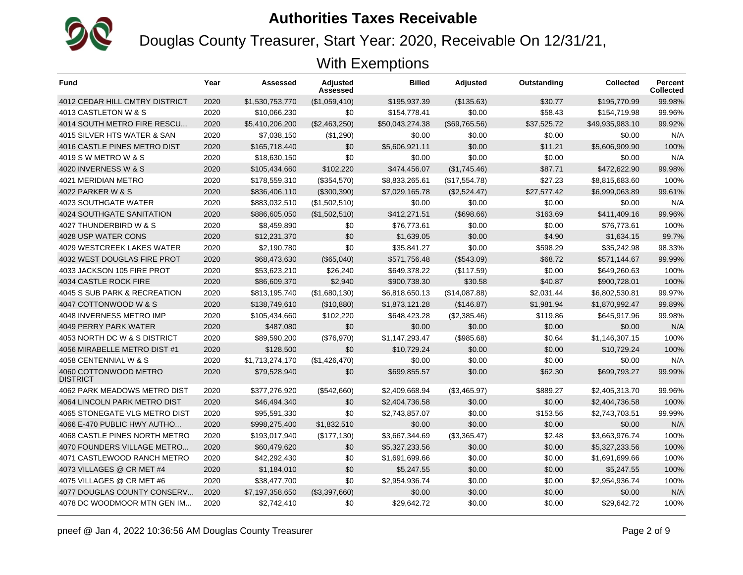

Douglas County Treasurer, Start Year: 2020, Receivable On 12/31/21,

| <b>Fund</b>                              | Year | Assessed        | Adjusted<br>Assessed | <b>Billed</b>   | <b>Adjusted</b> | Outstanding | <b>Collected</b> | <b>Percent</b><br><b>Collected</b> |
|------------------------------------------|------|-----------------|----------------------|-----------------|-----------------|-------------|------------------|------------------------------------|
| <b>4012 CEDAR HILL CMTRY DISTRICT</b>    | 2020 | \$1,530,753,770 | (\$1,059,410)        | \$195,937.39    | (\$135.63)      | \$30.77     | \$195,770.99     | 99.98%                             |
| 4013 CASTLETON W & S                     | 2020 | \$10,066,230    | \$0                  | \$154,778.41    | \$0.00          | \$58.43     | \$154,719.98     | 99.96%                             |
| 4014 SOUTH METRO FIRE RESCU              | 2020 | \$5,410,206,200 | (\$2,463,250)        | \$50,043,274.38 | (\$69,765.56)   | \$37,525.72 | \$49,935,983.10  | 99.92%                             |
| 4015 SILVER HTS WATER & SAN              | 2020 | \$7,038,150     | (\$1,290)            | \$0.00          | \$0.00          | \$0.00      | \$0.00           | N/A                                |
| 4016 CASTLE PINES METRO DIST             | 2020 | \$165,718,440   | \$0                  | \$5,606,921.11  | \$0.00          | \$11.21     | \$5,606,909.90   | 100%                               |
| 4019 S W METRO W & S                     | 2020 | \$18,630,150    | \$0                  | \$0.00          | \$0.00          | \$0.00      | \$0.00           | N/A                                |
| 4020 INVERNESS W & S                     | 2020 | \$105,434,660   | \$102,220            | \$474.456.07    | (\$1,745.46)    | \$87.71     | \$472.622.90     | 99.98%                             |
| 4021 MERIDIAN METRO                      | 2020 | \$178,559,310   | (\$354,570)          | \$8,833,265.61  | (\$17,554.78)   | \$27.23     | \$8,815,683.60   | 100%                               |
| 4022 PARKER W & S                        | 2020 | \$836,406,110   | (\$300,390)          | \$7,029,165.78  | (\$2,524.47)    | \$27,577.42 | \$6,999,063.89   | 99.61%                             |
| 4023 SOUTHGATE WATER                     | 2020 | \$883,032,510   | (\$1,502,510)        | \$0.00          | \$0.00          | \$0.00      | \$0.00           | N/A                                |
| 4024 SOUTHGATE SANITATION                | 2020 | \$886,605,050   | (\$1,502,510)        | \$412,271.51    | $($ \$698.66)   | \$163.69    | \$411,409.16     | 99.96%                             |
| 4027 THUNDERBIRD W & S                   | 2020 | \$8.459.890     | \$0                  | \$76,773.61     | \$0.00          | \$0.00      | \$76,773.61      | 100%                               |
| 4028 USP WATER CONS                      | 2020 | \$12,231,370    | \$0                  | \$1,639.05      | \$0.00          | \$4.90      | \$1,634.15       | 99.7%                              |
| 4029 WESTCREEK LAKES WATER               | 2020 | \$2,190,780     | \$0                  | \$35,841.27     | \$0.00          | \$598.29    | \$35,242.98      | 98.33%                             |
| 4032 WEST DOUGLAS FIRE PROT              | 2020 | \$68,473,630    | (\$65,040)           | \$571,756.48    | (\$543.09)      | \$68.72     | \$571,144.67     | 99.99%                             |
| 4033 JACKSON 105 FIRE PROT               | 2020 | \$53,623,210    | \$26,240             | \$649,378.22    | (\$117.59)      | \$0.00      | \$649,260.63     | 100%                               |
| 4034 CASTLE ROCK FIRE                    | 2020 | \$86,609,370    | \$2,940              | \$900,738.30    | \$30.58         | \$40.87     | \$900,728.01     | 100%                               |
| 4045 S SUB PARK & RECREATION             | 2020 | \$813,195,740   | (\$1,680,130)        | \$6,818,650.13  | (\$14,087.88)   | \$2.031.44  | \$6,802,530.81   | 99.97%                             |
| 4047 COTTONWOOD W & S                    | 2020 | \$138,749,610   | (\$10,880)           | \$1,873,121.28  | (\$146.87)      | \$1,981.94  | \$1,870,992.47   | 99.89%                             |
| 4048 INVERNESS METRO IMP                 | 2020 | \$105,434,660   | \$102,220            | \$648,423.28    | (\$2,385.46)    | \$119.86    | \$645.917.96     | 99.98%                             |
| 4049 PERRY PARK WATER                    | 2020 | \$487.080       | \$0                  | \$0.00          | \$0.00          | \$0.00      | \$0.00           | N/A                                |
| 4053 NORTH DC W & S DISTRICT             | 2020 | \$89,590,200    | (\$76,970)           | \$1,147,293.47  | (\$985.68)      | \$0.64      | \$1,146,307.15   | 100%                               |
| 4056 MIRABELLE METRO DIST #1             | 2020 | \$128,500       | \$0                  | \$10.729.24     | \$0.00          | \$0.00      | \$10.729.24      | 100%                               |
| 4058 CENTENNIAL W & S                    | 2020 | \$1,713,274,170 | (S1.426.470)         | \$0.00          | \$0.00          | \$0.00      | \$0.00           | N/A                                |
| 4060 COTTONWOOD METRO<br><b>DISTRICT</b> | 2020 | \$79,528,940    | \$0                  | \$699,855.57    | \$0.00          | \$62.30     | \$699,793.27     | 99.99%                             |
| 4062 PARK MEADOWS METRO DIST             | 2020 | \$377,276,920   | (\$542,660)          | \$2,409,668.94  | (\$3,465.97)    | \$889.27    | \$2,405,313.70   | 99.96%                             |
| 4064 LINCOLN PARK METRO DIST             | 2020 | \$46,494,340    | \$0                  | \$2.404.736.58  | \$0.00          | \$0.00      | \$2,404,736.58   | 100%                               |
| 4065 STONEGATE VLG METRO DIST            | 2020 | \$95,591,330    | \$0                  | \$2,743,857.07  | \$0.00          | \$153.56    | \$2,743,703.51   | 99.99%                             |
| 4066 E-470 PUBLIC HWY AUTHO              | 2020 | \$998,275,400   | \$1,832,510          | \$0.00          | \$0.00          | \$0.00      | \$0.00           | N/A                                |
| 4068 CASTLE PINES NORTH METRO            | 2020 | \$193,017,940   | (\$177, 130)         | \$3,667,344.69  | (\$3,365.47)    | \$2.48      | \$3,663,976.74   | 100%                               |
| 4070 FOUNDERS VILLAGE METRO              | 2020 | \$60,479,620    | \$0                  | \$5,327,233.56  | \$0.00          | \$0.00      | \$5,327,233.56   | 100%                               |
| 4071 CASTLEWOOD RANCH METRO              | 2020 | \$42,292,430    | \$0                  | \$1,691,699.66  | \$0.00          | \$0.00      | \$1,691,699.66   | 100%                               |
| 4073 VILLAGES @ CR MET #4                | 2020 | \$1,184,010     | \$0                  | \$5,247.55      | \$0.00          | \$0.00      | \$5,247.55       | 100%                               |
| 4075 VILLAGES @ CR MET #6                | 2020 | \$38,477,700    | \$0                  | \$2,954,936.74  | \$0.00          | \$0.00      | \$2,954,936.74   | 100%                               |
| 4077 DOUGLAS COUNTY CONSERV              | 2020 | \$7,197,358,650 | (\$3,397,660)        | \$0.00          | \$0.00          | \$0.00      | \$0.00           | N/A                                |
| 4078 DC WOODMOOR MTN GEN IM              | 2020 | \$2,742,410     | \$0                  | \$29,642.72     | \$0.00          | \$0.00      | \$29,642.72      | 100%                               |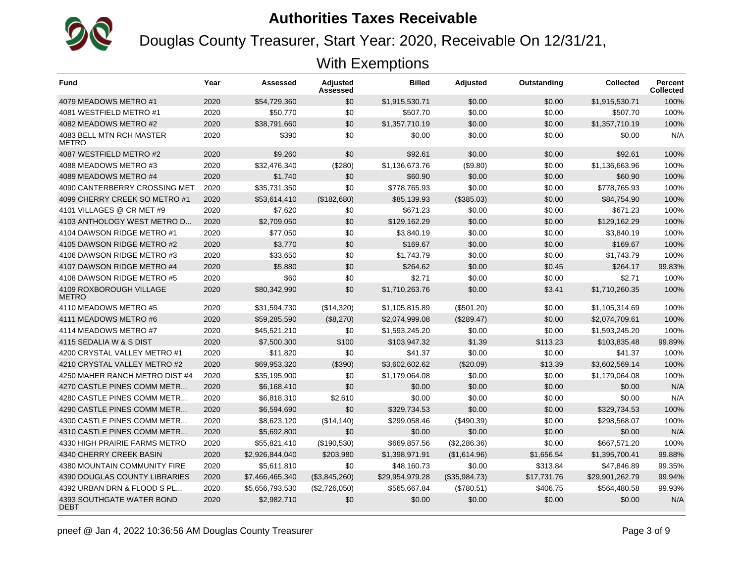

Douglas County Treasurer, Start Year: 2020, Receivable On 12/31/21,

| <b>Fund</b>                              | Year | Assessed        | <b>Adjusted</b><br>Assessed | <b>Billed</b>   | <b>Adjusted</b> | Outstanding | <b>Collected</b> | <b>Percent</b><br><b>Collected</b> |
|------------------------------------------|------|-----------------|-----------------------------|-----------------|-----------------|-------------|------------------|------------------------------------|
| 4079 MEADOWS METRO #1                    | 2020 | \$54,729,360    | \$0                         | \$1,915,530.71  | \$0.00          | \$0.00      | \$1,915,530.71   | 100%                               |
| 4081 WESTFIELD METRO #1                  | 2020 | \$50,770        | \$0                         | \$507.70        | \$0.00          | \$0.00      | \$507.70         | 100%                               |
| 4082 MEADOWS METRO #2                    | 2020 | \$38,791,660    | \$0                         | \$1,357,710.19  | \$0.00          | \$0.00      | \$1,357,710.19   | 100%                               |
| 4083 BELL MTN RCH MASTER<br>METRO        | 2020 | \$390           | \$0                         | \$0.00          | \$0.00          | \$0.00      | \$0.00           | N/A                                |
| 4087 WESTFIELD METRO #2                  | 2020 | \$9.260         | \$0                         | \$92.61         | \$0.00          | \$0.00      | \$92.61          | 100%                               |
| 4088 MEADOWS METRO #3                    | 2020 | \$32,476,340    | (\$280)                     | \$1,136,673.76  | (\$9.80)        | \$0.00      | \$1,136,663.96   | 100%                               |
| 4089 MEADOWS METRO #4                    | 2020 | \$1,740         | \$0                         | \$60.90         | \$0.00          | \$0.00      | \$60.90          | 100%                               |
| 4090 CANTERBERRY CROSSING MET            | 2020 | \$35,731,350    | \$0                         | \$778,765.93    | \$0.00          | \$0.00      | \$778,765.93     | 100%                               |
| 4099 CHERRY CREEK SO METRO #1            | 2020 | \$53,614,410    | (\$182,680)                 | \$85.139.93     | (\$385.03)      | \$0.00      | \$84,754.90      | 100%                               |
| 4101 VILLAGES @ CR MET #9                | 2020 | \$7,620         | \$0                         | \$671.23        | \$0.00          | \$0.00      | \$671.23         | 100%                               |
| 4103 ANTHOLOGY WEST METRO D              | 2020 | \$2.709.050     | \$0                         | \$129.162.29    | \$0.00          | \$0.00      | \$129.162.29     | 100%                               |
| 4104 DAWSON RIDGE METRO #1               | 2020 | \$77,050        | \$0                         | \$3,840.19      | \$0.00          | \$0.00      | \$3,840.19       | 100%                               |
| 4105 DAWSON RIDGE METRO #2               | 2020 | \$3,770         | \$0                         | \$169.67        | \$0.00          | \$0.00      | \$169.67         | 100%                               |
| 4106 DAWSON RIDGE METRO #3               | 2020 | \$33,650        | \$0                         | \$1,743.79      | \$0.00          | \$0.00      | \$1,743.79       | 100%                               |
| 4107 DAWSON RIDGE METRO #4               | 2020 | \$5,880         | \$0                         | \$264.62        | \$0.00          | \$0.45      | \$264.17         | 99.83%                             |
| 4108 DAWSON RIDGE METRO #5               | 2020 | \$60            | \$0                         | \$2.71          | \$0.00          | \$0.00      | \$2.71           | 100%                               |
| 4109 ROXBOROUGH VILLAGE<br><b>METRO</b>  | 2020 | \$80,342,990    | \$0                         | \$1,710,263.76  | \$0.00          | \$3.41      | \$1,710,260.35   | 100%                               |
| 4110 MEADOWS METRO #5                    | 2020 | \$31,594,730    | (\$14,320)                  | \$1,105,815.89  | (\$501.20)      | \$0.00      | \$1,105,314.69   | 100%                               |
| 4111 MEADOWS METRO #6                    | 2020 | \$59,285,590    | (\$8,270)                   | \$2,074,999.08  | (\$289.47)      | \$0.00      | \$2,074,709.61   | 100%                               |
| 4114 MEADOWS METRO #7                    | 2020 | \$45,521,210    | \$0                         | \$1,593,245.20  | \$0.00          | \$0.00      | \$1,593,245.20   | 100%                               |
| 4115 SEDALIA W & S DIST                  | 2020 | \$7,500,300     | \$100                       | \$103,947.32    | \$1.39          | \$113.23    | \$103.835.48     | 99.89%                             |
| 4200 CRYSTAL VALLEY METRO #1             | 2020 | \$11,820        | \$0                         | \$41.37         | \$0.00          | \$0.00      | \$41.37          | 100%                               |
| 4210 CRYSTAL VALLEY METRO #2             | 2020 | \$69.953.320    | (\$390)                     | \$3.602.602.62  | (\$20.09)       | \$13.39     | \$3,602,569.14   | 100%                               |
| 4250 MAHER RANCH METRO DIST #4           | 2020 | \$35,195,900    | \$0                         | \$1,179,064.08  | \$0.00          | \$0.00      | \$1,179,064.08   | 100%                               |
| 4270 CASTLE PINES COMM METR              | 2020 | \$6,168,410     | \$0                         | \$0.00          | \$0.00          | \$0.00      | \$0.00           | N/A                                |
| 4280 CASTLE PINES COMM METR              | 2020 | \$6,818,310     | \$2,610                     | \$0.00          | \$0.00          | \$0.00      | \$0.00           | N/A                                |
| 4290 CASTLE PINES COMM METR              | 2020 | \$6,594,690     | \$0                         | \$329.734.53    | \$0.00          | \$0.00      | \$329.734.53     | 100%                               |
| 4300 CASTLE PINES COMM METR              | 2020 | \$8,623,120     | (\$14,140)                  | \$299.058.46    | (\$490.39)      | \$0.00      | \$298.568.07     | 100%                               |
| 4310 CASTLE PINES COMM METR              | 2020 | \$5,692,800     | \$0                         | \$0.00          | \$0.00          | \$0.00      | \$0.00           | N/A                                |
| 4330 HIGH PRAIRIE FARMS METRO            | 2020 | \$55,821,410    | (\$190,530)                 | \$669,857.56    | (\$2,286.36)    | \$0.00      | \$667,571.20     | 100%                               |
| 4340 CHERRY CREEK BASIN                  | 2020 | \$2,926,844,040 | \$203,980                   | \$1,398,971.91  | (\$1,614.96)    | \$1,656.54  | \$1,395,700.41   | 99.88%                             |
| 4380 MOUNTAIN COMMUNITY FIRE             | 2020 | \$5,611,810     | \$0                         | \$48,160.73     | \$0.00          | \$313.84    | \$47,846.89      | 99.35%                             |
| <b>4390 DOUGLAS COUNTY LIBRARIES</b>     | 2020 | \$7,466,465,340 | (\$3,845,260)               | \$29,954,979.28 | (\$35,984.73)   | \$17.731.76 | \$29,901,262.79  | 99.94%                             |
| 4392 URBAN DRN & FLOOD S PL              | 2020 | \$5,656,793,530 | (\$2,726,050)               | \$565,667.84    | (\$780.51)      | \$406.75    | \$564,480.58     | 99.93%                             |
| 4393 SOUTHGATE WATER BOND<br><b>DEBT</b> | 2020 | \$2,982,710     | \$0                         | \$0.00          | \$0.00          | \$0.00      | \$0.00           | N/A                                |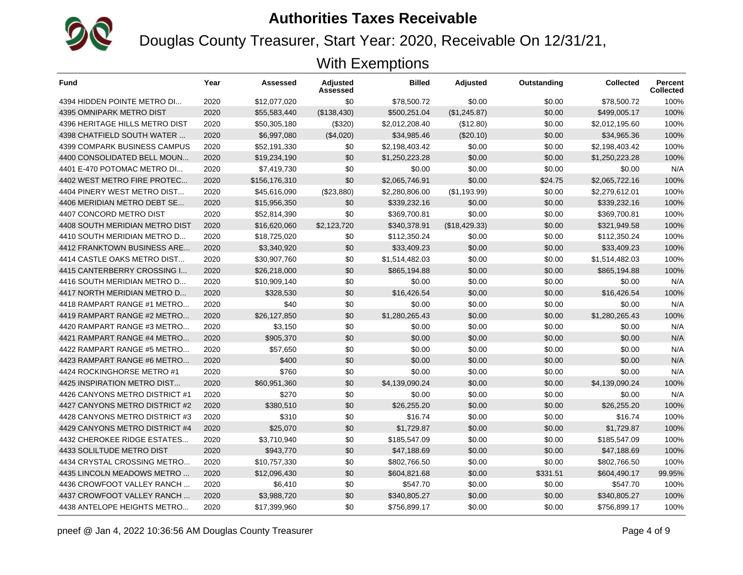

Douglas County Treasurer, Start Year: 2020, Receivable On 12/31/21,

| <b>Fund</b>                         | Year | Assessed      | <b>Adjusted</b><br>Assessed | <b>Billed</b>  | <b>Adjusted</b> | Outstanding | <b>Collected</b> | <b>Percent</b><br><b>Collected</b> |
|-------------------------------------|------|---------------|-----------------------------|----------------|-----------------|-------------|------------------|------------------------------------|
| 4394 HIDDEN POINTE METRO DI         | 2020 | \$12.077.020  | \$0                         | \$78,500.72    | \$0.00          | \$0.00      | \$78.500.72      | 100%                               |
| 4395 OMNIPARK METRO DIST            | 2020 | \$55,583,440  | (\$138,430)                 | \$500,251.04   | (\$1,245.87)    | \$0.00      | \$499,005.17     | 100%                               |
| 4396 HERITAGE HILLS METRO DIST      | 2020 | \$50,305,180  | (\$320)                     | \$2,012,208.40 | (\$12.80)       | \$0.00      | \$2,012,195.60   | 100%                               |
| 4398 CHATFIELD SOUTH WATER          | 2020 | \$6,997,080   | (\$4,020)                   | \$34,985.46    | (\$20.10)       | \$0.00      | \$34.965.36      | 100%                               |
| <b>4399 COMPARK BUSINESS CAMPUS</b> | 2020 | \$52,191,330  | \$0                         | \$2,198,403.42 | \$0.00          | \$0.00      | \$2,198,403.42   | 100%                               |
| 4400 CONSOLIDATED BELL MOUN         | 2020 | \$19,234,190  | \$0                         | \$1,250,223.28 | \$0.00          | \$0.00      | \$1,250,223.28   | 100%                               |
| 4401 E-470 POTOMAC METRO DI         | 2020 | \$7,419,730   | \$0                         | \$0.00         | \$0.00          | \$0.00      | \$0.00           | N/A                                |
| 4402 WEST METRO FIRE PROTEC         | 2020 | \$156,176,310 | \$0                         | \$2,065,746.91 | \$0.00          | \$24.75     | \$2,065,722.16   | 100%                               |
| 4404 PINERY WEST METRO DIST         | 2020 | \$45,616,090  | (\$23,880)                  | \$2,280,806.00 | (\$1,193.99)    | \$0.00      | \$2,279,612.01   | 100%                               |
| 4406 MERIDIAN METRO DEBT SE         | 2020 | \$15,956,350  | \$0                         | \$339,232.16   | \$0.00          | \$0.00      | \$339,232.16     | 100%                               |
| 4407 CONCORD METRO DIST             | 2020 | \$52,814,390  | \$0                         | \$369,700.81   | \$0.00          | \$0.00      | \$369,700.81     | 100%                               |
| 4408 SOUTH MERIDIAN METRO DIST      | 2020 | \$16,620,060  | \$2,123,720                 | \$340,378.91   | (\$18,429.33)   | \$0.00      | \$321,949.58     | 100%                               |
| 4410 SOUTH MERIDIAN METRO D         | 2020 | \$18,725,020  | \$0                         | \$112,350.24   | \$0.00          | \$0.00      | \$112,350.24     | 100%                               |
| 4412 FRANKTOWN BUSINESS ARE         | 2020 | \$3,340,920   | \$0                         | \$33,409.23    | \$0.00          | \$0.00      | \$33,409.23      | 100%                               |
| 4414 CASTLE OAKS METRO DIST         | 2020 | \$30,907,760  | \$0                         | \$1,514,482.03 | \$0.00          | \$0.00      | \$1.514.482.03   | 100%                               |
| 4415 CANTERBERRY CROSSING I         | 2020 | \$26,218,000  | \$0                         | \$865,194.88   | \$0.00          | \$0.00      | \$865,194.88     | 100%                               |
| 4416 SOUTH MERIDIAN METRO D         | 2020 | \$10,909,140  | \$0                         | \$0.00         | \$0.00          | \$0.00      | \$0.00           | N/A                                |
| 4417 NORTH MERIDIAN METRO D         | 2020 | \$328.530     | \$0                         | \$16.426.54    | \$0.00          | \$0.00      | \$16.426.54      | 100%                               |
| 4418 RAMPART RANGE #1 METRO         | 2020 | \$40          | \$0                         | \$0.00         | \$0.00          | \$0.00      | \$0.00           | N/A                                |
| 4419 RAMPART RANGE #2 METRO         | 2020 | \$26,127,850  | \$0                         | \$1,280,265.43 | \$0.00          | \$0.00      | \$1,280,265.43   | 100%                               |
| 4420 RAMPART RANGE #3 METRO         | 2020 | \$3,150       | \$0                         | \$0.00         | \$0.00          | \$0.00      | \$0.00           | N/A                                |
| 4421 RAMPART RANGE #4 METRO         | 2020 | \$905,370     | \$0                         | \$0.00         | \$0.00          | \$0.00      | \$0.00           | N/A                                |
| 4422 RAMPART RANGE #5 METRO         | 2020 | \$57,650      | \$0                         | \$0.00         | \$0.00          | \$0.00      | \$0.00           | N/A                                |
| 4423 RAMPART RANGE #6 METRO         | 2020 | \$400         | \$0                         | \$0.00         | \$0.00          | \$0.00      | \$0.00           | N/A                                |
| 4424 ROCKINGHORSE METRO #1          | 2020 | \$760         | \$0                         | \$0.00         | \$0.00          | \$0.00      | \$0.00           | N/A                                |
| 4425 INSPIRATION METRO DIST         | 2020 | \$60,951,360  | \$0                         | \$4,139,090.24 | \$0.00          | \$0.00      | \$4,139,090.24   | 100%                               |
| 4426 CANYONS METRO DISTRICT #1      | 2020 | \$270         | \$0                         | \$0.00         | \$0.00          | \$0.00      | \$0.00           | N/A                                |
| 4427 CANYONS METRO DISTRICT #2      | 2020 | \$380,510     | \$0                         | \$26,255.20    | \$0.00          | \$0.00      | \$26,255.20      | 100%                               |
| 4428 CANYONS METRO DISTRICT #3      | 2020 | \$310         | \$0                         | \$16.74        | \$0.00          | \$0.00      | \$16.74          | 100%                               |
| 4429 CANYONS METRO DISTRICT #4      | 2020 | \$25,070      | \$0                         | \$1,729.87     | \$0.00          | \$0.00      | \$1,729.87       | 100%                               |
| 4432 CHEROKEE RIDGE ESTATES         | 2020 | \$3,710,940   | \$0                         | \$185,547.09   | \$0.00          | \$0.00      | \$185,547.09     | 100%                               |
| 4433 SOLILTUDE METRO DIST           | 2020 | \$943.770     | \$0                         | \$47,188.69    | \$0.00          | \$0.00      | \$47.188.69      | 100%                               |
| 4434 CRYSTAL CROSSING METRO         | 2020 | \$10,757,330  | \$0                         | \$802,766.50   | \$0.00          | \$0.00      | \$802,766.50     | 100%                               |
| 4435 LINCOLN MEADOWS METRO          | 2020 | \$12,096,430  | \$0                         | \$604,821.68   | \$0.00          | \$331.51    | \$604,490.17     | 99.95%                             |
| 4436 CROWFOOT VALLEY RANCH          | 2020 | \$6,410       | \$0                         | \$547.70       | \$0.00          | \$0.00      | \$547.70         | 100%                               |
| 4437 CROWFOOT VALLEY RANCH          | 2020 | \$3,988,720   | \$0                         | \$340,805.27   | \$0.00          | \$0.00      | \$340,805.27     | 100%                               |
| 4438 ANTELOPE HEIGHTS METRO         | 2020 | \$17,399,960  | \$0                         | \$756.899.17   | \$0.00          | \$0.00      | \$756.899.17     | 100%                               |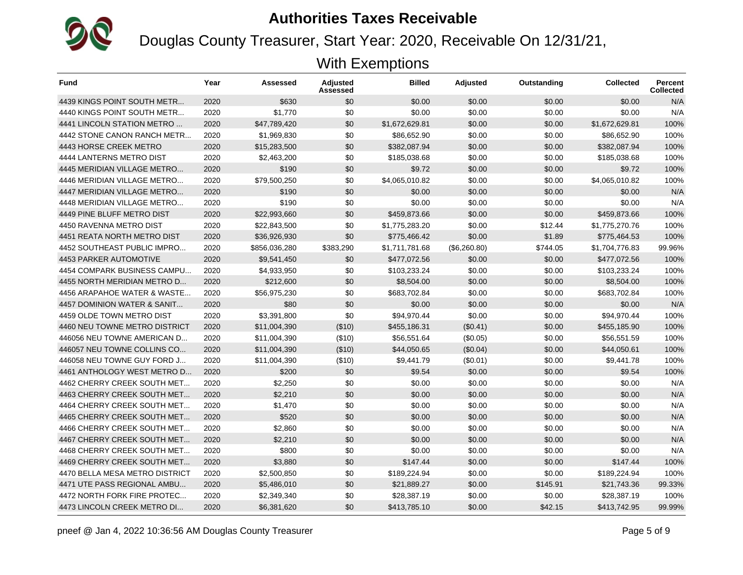

Douglas County Treasurer, Start Year: 2020, Receivable On 12/31/21,

| <b>Fund</b>                    | Year | Assessed      | Adjusted<br>Assessed | <b>Billed</b>  | <b>Adjusted</b> | Outstanding | <b>Collected</b> | <b>Percent</b><br><b>Collected</b> |
|--------------------------------|------|---------------|----------------------|----------------|-----------------|-------------|------------------|------------------------------------|
| 4439 KINGS POINT SOUTH METR    | 2020 | \$630         | \$0                  | \$0.00         | \$0.00          | \$0.00      | \$0.00           | N/A                                |
| 4440 KINGS POINT SOUTH METR    | 2020 | \$1,770       | \$0                  | \$0.00         | \$0.00          | \$0.00      | \$0.00           | N/A                                |
| 4441 LINCOLN STATION METRO     | 2020 | \$47,789,420  | \$0                  | \$1,672,629.81 | \$0.00          | \$0.00      | \$1,672,629.81   | 100%                               |
| 4442 STONE CANON RANCH METR    | 2020 | \$1,969,830   | \$0                  | \$86,652.90    | \$0.00          | \$0.00      | \$86,652.90      | 100%                               |
| 4443 HORSE CREEK METRO         | 2020 | \$15,283,500  | \$0                  | \$382,087.94   | \$0.00          | \$0.00      | \$382,087.94     | 100%                               |
| 4444 LANTERNS METRO DIST       | 2020 | \$2,463,200   | \$0                  | \$185,038.68   | \$0.00          | \$0.00      | \$185,038.68     | 100%                               |
| 4445 MERIDIAN VILLAGE METRO    | 2020 | \$190         | \$0                  | \$9.72         | \$0.00          | \$0.00      | \$9.72           | 100%                               |
| 4446 MERIDIAN VILLAGE METRO    | 2020 | \$79,500,250  | \$0                  | \$4,065,010.82 | \$0.00          | \$0.00      | \$4,065,010.82   | 100%                               |
| 4447 MERIDIAN VILLAGE METRO    | 2020 | \$190         | \$0                  | \$0.00         | \$0.00          | \$0.00      | \$0.00           | N/A                                |
| 4448 MERIDIAN VILLAGE METRO    | 2020 | \$190         | \$0                  | \$0.00         | \$0.00          | \$0.00      | \$0.00           | N/A                                |
| 4449 PINE BLUFF METRO DIST     | 2020 | \$22,993,660  | \$0                  | \$459,873.66   | \$0.00          | \$0.00      | \$459.873.66     | 100%                               |
| 4450 RAVENNA METRO DIST        | 2020 | \$22,843,500  | \$0                  | \$1,775,283.20 | \$0.00          | \$12.44     | \$1,775,270.76   | 100%                               |
| 4451 REATA NORTH METRO DIST    | 2020 | \$36,926,930  | \$0                  | \$775,466.42   | \$0.00          | \$1.89      | \$775,464.53     | 100%                               |
| 4452 SOUTHEAST PUBLIC IMPRO    | 2020 | \$856,036,280 | \$383,290            | \$1,711,781.68 | (\$6,260.80)    | \$744.05    | \$1.704.776.83   | 99.96%                             |
| 4453 PARKER AUTOMOTIVE         | 2020 | \$9,541,450   | \$0                  | \$477,072.56   | \$0.00          | \$0.00      | \$477,072.56     | 100%                               |
| 4454 COMPARK BUSINESS CAMPU    | 2020 | \$4,933,950   | \$0                  | \$103,233.24   | \$0.00          | \$0.00      | \$103,233.24     | 100%                               |
| 4455 NORTH MERIDIAN METRO D    | 2020 | \$212.600     | \$0                  | \$8.504.00     | \$0.00          | \$0.00      | \$8,504.00       | 100%                               |
| 4456 ARAPAHOE WATER & WASTE    | 2020 | \$56,975,230  | \$0                  | \$683,702.84   | \$0.00          | \$0.00      | \$683,702.84     | 100%                               |
| 4457 DOMINION WATER & SANIT    | 2020 | \$80          | \$0                  | \$0.00         | \$0.00          | \$0.00      | \$0.00           | N/A                                |
| 4459 OLDE TOWN METRO DIST      | 2020 | \$3,391,800   | \$0                  | \$94,970.44    | \$0.00          | \$0.00      | \$94,970.44      | 100%                               |
| 4460 NEU TOWNE METRO DISTRICT  | 2020 | \$11,004,390  | (\$10)               | \$455,186.31   | (\$0.41)        | \$0.00      | \$455,185.90     | 100%                               |
| 446056 NEU TOWNE AMERICAN D    | 2020 | \$11,004,390  | (\$10)               | \$56,551.64    | (S0.05)         | \$0.00      | \$56,551.59      | 100%                               |
| 446057 NEU TOWNE COLLINS CO    | 2020 | \$11,004,390  | (\$10)               | \$44,050.65    | (\$0.04)        | \$0.00      | \$44,050.61      | 100%                               |
| 446058 NEU TOWNE GUY FORD J    | 2020 | \$11,004,390  | (\$10)               | \$9,441.79     | (\$0.01)        | \$0.00      | \$9,441.78       | 100%                               |
| 4461 ANTHOLOGY WEST METRO D    | 2020 | \$200         | \$0                  | \$9.54         | \$0.00          | \$0.00      | \$9.54           | 100%                               |
| 4462 CHERRY CREEK SOUTH MET    | 2020 | \$2,250       | \$0                  | \$0.00         | \$0.00          | \$0.00      | \$0.00           | N/A                                |
| 4463 CHERRY CREEK SOUTH MET    | 2020 | \$2.210       | \$0                  | \$0.00         | \$0.00          | \$0.00      | \$0.00           | N/A                                |
| 4464 CHERRY CREEK SOUTH MET    | 2020 | \$1,470       | \$0                  | \$0.00         | \$0.00          | \$0.00      | \$0.00           | N/A                                |
| 4465 CHERRY CREEK SOUTH MET    | 2020 | \$520         | \$0                  | \$0.00         | \$0.00          | \$0.00      | \$0.00           | N/A                                |
| 4466 CHERRY CREEK SOUTH MET    | 2020 | \$2,860       | \$0                  | \$0.00         | \$0.00          | \$0.00      | \$0.00           | N/A                                |
| 4467 CHERRY CREEK SOUTH MET    | 2020 | \$2,210       | \$0                  | \$0.00         | \$0.00          | \$0.00      | \$0.00           | N/A                                |
| 4468 CHERRY CREEK SOUTH MET    | 2020 | \$800         | \$0                  | \$0.00         | \$0.00          | \$0.00      | \$0.00           | N/A                                |
| 4469 CHERRY CREEK SOUTH MET    | 2020 | \$3,880       | \$0                  | \$147.44       | \$0.00          | \$0.00      | \$147.44         | 100%                               |
| 4470 BELLA MESA METRO DISTRICT | 2020 | \$2,500,850   | \$0                  | \$189,224.94   | \$0.00          | \$0.00      | \$189,224.94     | 100%                               |
| 4471 UTE PASS REGIONAL AMBU    | 2020 | \$5,486,010   | \$0                  | \$21,889.27    | \$0.00          | \$145.91    | \$21,743.36      | 99.33%                             |
| 4472 NORTH FORK FIRE PROTEC    | 2020 | \$2,349,340   | \$0                  | \$28,387.19    | \$0.00          | \$0.00      | \$28,387.19      | 100%                               |
| 4473 LINCOLN CREEK METRO DI    | 2020 | \$6,381,620   | \$0                  | \$413,785.10   | \$0.00          | \$42.15     | \$413,742.95     | 99.99%                             |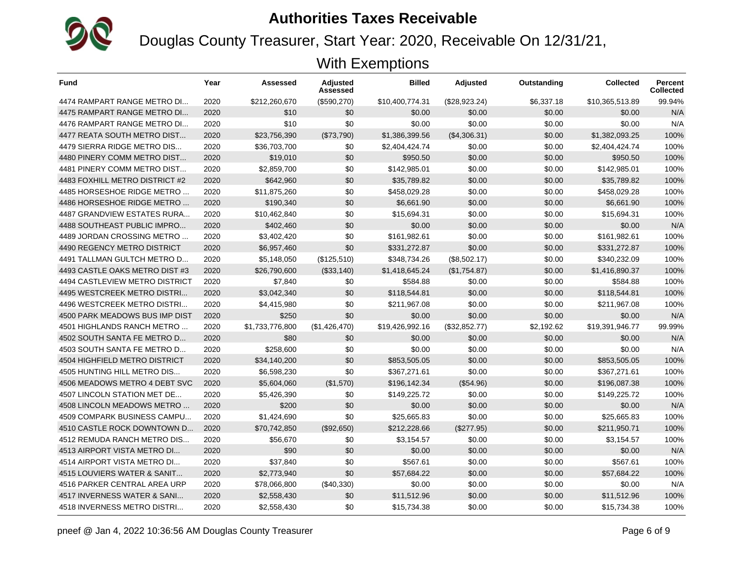

Douglas County Treasurer, Start Year: 2020, Receivable On 12/31/21,

| <b>Fund</b>                    | Year | <b>Assessed</b> | Adjusted<br>Assessed | <b>Billed</b>   | <b>Adjusted</b> | Outstanding | <b>Collected</b> | <b>Percent</b><br><b>Collected</b> |
|--------------------------------|------|-----------------|----------------------|-----------------|-----------------|-------------|------------------|------------------------------------|
| 4474 RAMPART RANGE METRO DI    | 2020 | \$212,260,670   | (\$590,270)          | \$10,400,774.31 | (\$28,923.24)   | \$6.337.18  | \$10,365,513.89  | 99.94%                             |
| 4475 RAMPART RANGE METRO DI    | 2020 | \$10            | \$0                  | \$0.00          | \$0.00          | \$0.00      | \$0.00           | N/A                                |
| 4476 RAMPART RANGE METRO DI    | 2020 | \$10            | \$0                  | \$0.00          | \$0.00          | \$0.00      | \$0.00           | N/A                                |
| 4477 REATA SOUTH METRO DIST    | 2020 | \$23,756,390    | (\$73,790)           | \$1.386.399.56  | (\$4,306.31)    | \$0.00      | \$1,382,093.25   | 100%                               |
| 4479 SIERRA RIDGE METRO DIS    | 2020 | \$36,703,700    | \$0                  | \$2,404,424.74  | \$0.00          | \$0.00      | \$2,404,424.74   | 100%                               |
| 4480 PINERY COMM METRO DIST    | 2020 | \$19,010        | \$0                  | \$950.50        | \$0.00          | \$0.00      | \$950.50         | 100%                               |
| 4481 PINERY COMM METRO DIST    | 2020 | \$2.859.700     | \$0                  | \$142,985.01    | \$0.00          | \$0.00      | \$142,985.01     | 100%                               |
| 4483 FOXHILL METRO DISTRICT #2 | 2020 | \$642,960       | \$0                  | \$35,789.82     | \$0.00          | \$0.00      | \$35,789.82      | 100%                               |
| 4485 HORSESHOE RIDGE METRO     | 2020 | \$11,875,260    | \$0                  | \$458,029.28    | \$0.00          | \$0.00      | \$458,029.28     | 100%                               |
| 4486 HORSESHOE RIDGE METRO     | 2020 | \$190.340       | \$0                  | \$6.661.90      | \$0.00          | \$0.00      | \$6.661.90       | 100%                               |
| 4487 GRANDVIEW ESTATES RURA    | 2020 | \$10,462,840    | \$0                  | \$15,694.31     | \$0.00          | \$0.00      | \$15,694.31      | 100%                               |
| 4488 SOUTHEAST PUBLIC IMPRO    | 2020 | \$402,460       | \$0                  | \$0.00          | \$0.00          | \$0.00      | \$0.00           | N/A                                |
| 4489 JORDAN CROSSING METRO     | 2020 | \$3,402,420     | \$0                  | \$161,982.61    | \$0.00          | \$0.00      | \$161,982.61     | 100%                               |
| 4490 REGENCY METRO DISTRICT    | 2020 | \$6,957,460     | \$0                  | \$331,272.87    | \$0.00          | \$0.00      | \$331,272.87     | 100%                               |
| 4491 TALLMAN GULTCH METRO D    | 2020 | \$5,148,050     | (\$125,510)          | \$348,734.26    | (\$8,502.17)    | \$0.00      | \$340.232.09     | 100%                               |
| 4493 CASTLE OAKS METRO DIST #3 | 2020 | \$26,790,600    | (\$33,140)           | \$1,418,645.24  | (\$1,754.87)    | \$0.00      | \$1,416,890.37   | 100%                               |
| 4494 CASTLEVIEW METRO DISTRICT | 2020 | \$7,840         | \$0                  | \$584.88        | \$0.00          | \$0.00      | \$584.88         | 100%                               |
| 4495 WESTCREEK METRO DISTRI    | 2020 | \$3,042,340     | \$0                  | \$118,544.81    | \$0.00          | \$0.00      | \$118.544.81     | 100%                               |
| 4496 WESTCREEK METRO DISTRI    | 2020 | \$4,415,980     | \$0                  | \$211,967.08    | \$0.00          | \$0.00      | \$211,967.08     | 100%                               |
| 4500 PARK MEADOWS BUS IMP DIST | 2020 | \$250           | \$0                  | \$0.00          | \$0.00          | \$0.00      | \$0.00           | N/A                                |
| 4501 HIGHLANDS RANCH METRO     | 2020 | \$1,733,776,800 | (\$1,426,470)        | \$19,426,992.16 | (\$32,852.77)   | \$2,192.62  | \$19.391.946.77  | 99.99%                             |
| 4502 SOUTH SANTA FE METRO D    | 2020 | \$80            | \$0                  | \$0.00          | \$0.00          | \$0.00      | \$0.00           | N/A                                |
| 4503 SOUTH SANTA FE METRO D    | 2020 | \$258,600       | \$0                  | \$0.00          | \$0.00          | \$0.00      | \$0.00           | N/A                                |
| 4504 HIGHFIELD METRO DISTRICT  | 2020 | \$34,140,200    | \$0                  | \$853.505.05    | \$0.00          | \$0.00      | \$853.505.05     | 100%                               |
| 4505 HUNTING HILL METRO DIS    | 2020 | \$6,598,230     | \$0                  | \$367,271.61    | \$0.00          | \$0.00      | \$367,271.61     | 100%                               |
| 4506 MEADOWS METRO 4 DEBT SVC  | 2020 | \$5,604,060     | (\$1,570)            | \$196,142.34    | (\$54.96)       | \$0.00      | \$196,087.38     | 100%                               |
| 4507 LINCOLN STATION MET DE    | 2020 | \$5,426,390     | \$0                  | \$149.225.72    | \$0.00          | \$0.00      | \$149,225.72     | 100%                               |
| 4508 LINCOLN MEADOWS METRO     | 2020 | \$200           | \$0                  | \$0.00          | \$0.00          | \$0.00      | \$0.00           | N/A                                |
| 4509 COMPARK BUSINESS CAMPU    | 2020 | \$1,424,690     | \$0                  | \$25,665.83     | \$0.00          | \$0.00      | \$25,665.83      | 100%                               |
| 4510 CASTLE ROCK DOWNTOWN D    | 2020 | \$70,742,850    | (\$92,650)           | \$212,228.66    | (\$277.95)      | \$0.00      | \$211,950.71     | 100%                               |
| 4512 REMUDA RANCH METRO DIS    | 2020 | \$56,670        | \$0                  | \$3,154.57      | \$0.00          | \$0.00      | \$3,154.57       | 100%                               |
| 4513 AIRPORT VISTA METRO DI    | 2020 | \$90            | \$0                  | \$0.00          | \$0.00          | \$0.00      | \$0.00           | N/A                                |
| 4514 AIRPORT VISTA METRO DI    | 2020 | \$37,840        | \$0                  | \$567.61        | \$0.00          | \$0.00      | \$567.61         | 100%                               |
| 4515 LOUVIERS WATER & SANIT    | 2020 | \$2,773,940     | \$0                  | \$57,684.22     | \$0.00          | \$0.00      | \$57,684.22      | 100%                               |
| 4516 PARKER CENTRAL AREA URP   | 2020 | \$78,066,800    | (\$40,330)           | \$0.00          | \$0.00          | \$0.00      | \$0.00           | N/A                                |
| 4517 INVERNESS WATER & SANI    | 2020 | \$2,558,430     | \$0                  | \$11,512.96     | \$0.00          | \$0.00      | \$11,512.96      | 100%                               |
| 4518 INVERNESS METRO DISTRI    | 2020 | \$2,558,430     | \$0                  | \$15,734.38     | \$0.00          | \$0.00      | \$15,734.38      | 100%                               |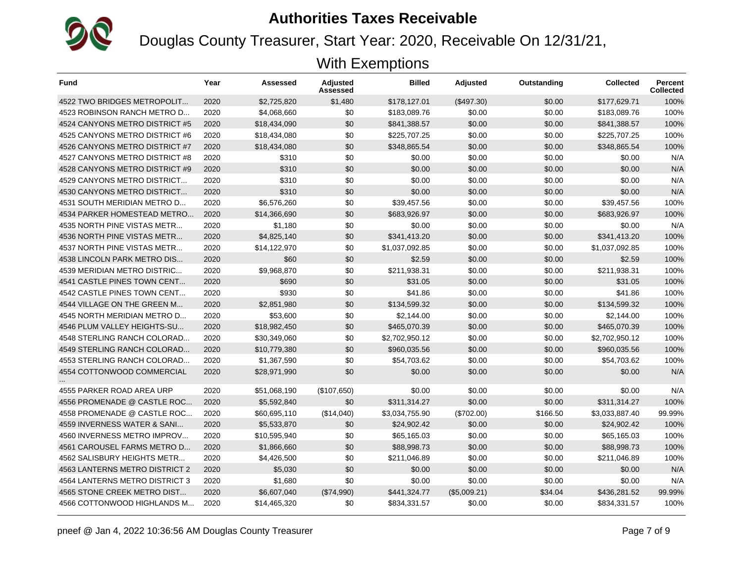

Douglas County Treasurer, Start Year: 2020, Receivable On 12/31/21,

| <b>Fund</b>                    | Year | Assessed     | Adjusted<br>Assessed | <b>Billed</b>  | Adjusted     | Outstanding | <b>Collected</b> | <b>Percent</b><br><b>Collected</b> |
|--------------------------------|------|--------------|----------------------|----------------|--------------|-------------|------------------|------------------------------------|
| 4522 TWO BRIDGES METROPOLIT    | 2020 | \$2,725,820  | \$1,480              | \$178,127.01   | (\$497.30)   | \$0.00      | \$177,629.71     | 100%                               |
| 4523 ROBINSON RANCH METRO D    | 2020 | \$4,068,660  | \$0                  | \$183,089.76   | \$0.00       | \$0.00      | \$183,089.76     | 100%                               |
| 4524 CANYONS METRO DISTRICT #5 | 2020 | \$18,434,090 | \$0                  | \$841,388.57   | \$0.00       | \$0.00      | \$841,388.57     | 100%                               |
| 4525 CANYONS METRO DISTRICT #6 | 2020 | \$18,434,080 | \$0                  | \$225,707.25   | \$0.00       | \$0.00      | \$225,707.25     | 100%                               |
| 4526 CANYONS METRO DISTRICT #7 | 2020 | \$18,434,080 | \$0                  | \$348,865.54   | \$0.00       | \$0.00      | \$348,865.54     | 100%                               |
| 4527 CANYONS METRO DISTRICT #8 | 2020 | \$310        | \$0                  | \$0.00         | \$0.00       | \$0.00      | \$0.00           | N/A                                |
| 4528 CANYONS METRO DISTRICT #9 | 2020 | \$310        | \$0                  | \$0.00         | \$0.00       | \$0.00      | \$0.00           | N/A                                |
| 4529 CANYONS METRO DISTRICT    | 2020 | \$310        | \$0                  | \$0.00         | \$0.00       | \$0.00      | \$0.00           | N/A                                |
| 4530 CANYONS METRO DISTRICT    | 2020 | \$310        | \$0                  | \$0.00         | \$0.00       | \$0.00      | \$0.00           | N/A                                |
| 4531 SOUTH MERIDIAN METRO D    | 2020 | \$6,576,260  | \$0                  | \$39.457.56    | \$0.00       | \$0.00      | \$39,457.56      | 100%                               |
| 4534 PARKER HOMESTEAD METRO    | 2020 | \$14,366,690 | \$0                  | \$683.926.97   | \$0.00       | \$0.00      | \$683.926.97     | 100%                               |
| 4535 NORTH PINE VISTAS METR    | 2020 | \$1,180      | \$0                  | \$0.00         | \$0.00       | \$0.00      | \$0.00           | N/A                                |
| 4536 NORTH PINE VISTAS METR    | 2020 | \$4,825,140  | \$0                  | \$341,413.20   | \$0.00       | \$0.00      | \$341,413.20     | 100%                               |
| 4537 NORTH PINE VISTAS METR    | 2020 | \$14,122,970 | \$0                  | \$1,037,092.85 | \$0.00       | \$0.00      | \$1,037,092.85   | 100%                               |
| 4538 LINCOLN PARK METRO DIS    | 2020 | \$60         | \$0                  | \$2.59         | \$0.00       | \$0.00      | \$2.59           | 100%                               |
| 4539 MERIDIAN METRO DISTRIC    | 2020 | \$9,968,870  | \$0                  | \$211,938.31   | \$0.00       | \$0.00      | \$211,938.31     | 100%                               |
| 4541 CASTLE PINES TOWN CENT    | 2020 | \$690        | \$0                  | \$31.05        | \$0.00       | \$0.00      | \$31.05          | 100%                               |
| 4542 CASTLE PINES TOWN CENT    | 2020 | \$930        | \$0                  | \$41.86        | \$0.00       | \$0.00      | \$41.86          | 100%                               |
| 4544 VILLAGE ON THE GREEN M    | 2020 | \$2,851,980  | \$0                  | \$134,599.32   | \$0.00       | \$0.00      | \$134,599.32     | 100%                               |
| 4545 NORTH MERIDIAN METRO D    | 2020 | \$53,600     | \$0                  | \$2,144.00     | \$0.00       | \$0.00      | \$2,144.00       | 100%                               |
| 4546 PLUM VALLEY HEIGHTS-SU    | 2020 | \$18,982,450 | \$0                  | \$465,070.39   | \$0.00       | \$0.00      | \$465,070.39     | 100%                               |
| 4548 STERLING RANCH COLORAD    | 2020 | \$30,349,060 | \$0                  | \$2,702,950.12 | \$0.00       | \$0.00      | \$2,702,950.12   | 100%                               |
| 4549 STERLING RANCH COLORAD    | 2020 | \$10,779,380 | \$0                  | \$960.035.56   | \$0.00       | \$0.00      | \$960.035.56     | 100%                               |
| 4553 STERLING RANCH COLORAD    | 2020 | \$1,367,590  | \$0                  | \$54,703.62    | \$0.00       | \$0.00      | \$54.703.62      | 100%                               |
| 4554 COTTONWOOD COMMERCIAL     | 2020 | \$28,971,990 | \$0                  | \$0.00         | \$0.00       | \$0.00      | \$0.00           | N/A                                |
| 4555 PARKER ROAD AREA URP      | 2020 | \$51,068,190 | (\$107,650)          | \$0.00         | \$0.00       | \$0.00      | \$0.00           | N/A                                |
| 4556 PROMENADE @ CASTLE ROC    | 2020 | \$5,592,840  | \$0                  | \$311,314.27   | \$0.00       | \$0.00      | \$311.314.27     | 100%                               |
| 4558 PROMENADE @ CASTLE ROC    | 2020 | \$60,695,110 | (\$14,040)           | \$3,034,755.90 | (\$702.00)   | \$166.50    | \$3,033,887.40   | 99.99%                             |
| 4559 INVERNESS WATER & SANI    | 2020 | \$5,533,870  | \$0                  | \$24,902.42    | \$0.00       | \$0.00      | \$24,902.42      | 100%                               |
| 4560 INVERNESS METRO IMPROV    | 2020 | \$10,595,940 | \$0                  | \$65,165.03    | \$0.00       | \$0.00      | \$65,165.03      | 100%                               |
| 4561 CAROUSEL FARMS METRO D    | 2020 | \$1,866,660  | \$0                  | \$88,998.73    | \$0.00       | \$0.00      | \$88,998.73      | 100%                               |
| 4562 SALISBURY HEIGHTS METR    | 2020 | \$4,426,500  | \$0                  | \$211,046.89   | \$0.00       | \$0.00      | \$211,046.89     | 100%                               |
| 4563 LANTERNS METRO DISTRICT 2 | 2020 | \$5,030      | \$0                  | \$0.00         | \$0.00       | \$0.00      | \$0.00           | N/A                                |
| 4564 LANTERNS METRO DISTRICT 3 | 2020 | \$1,680      | \$0                  | \$0.00         | \$0.00       | \$0.00      | \$0.00           | N/A                                |
| 4565 STONE CREEK METRO DIST    | 2020 | \$6,607,040  | (\$74,990)           | \$441,324.77   | (\$5,009.21) | \$34.04     | \$436,281.52     | 99.99%                             |
| 4566 COTTONWOOD HIGHLANDS M    | 2020 | \$14,465,320 | \$0                  | \$834,331.57   | \$0.00       | \$0.00      | \$834,331.57     | 100%                               |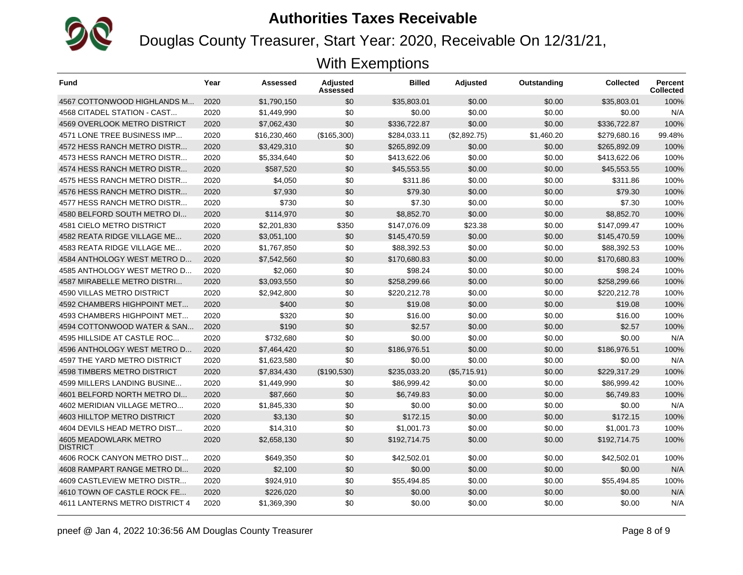

Douglas County Treasurer, Start Year: 2020, Receivable On 12/31/21,

| <b>Fund</b>                              | Year | Assessed     | <b>Adjusted</b><br>Assessed | <b>Billed</b> | <b>Adjusted</b> | Outstanding | Collected    | <b>Percent</b><br><b>Collected</b> |
|------------------------------------------|------|--------------|-----------------------------|---------------|-----------------|-------------|--------------|------------------------------------|
| 4567 COTTONWOOD HIGHLANDS M              | 2020 | \$1,790,150  | \$0                         | \$35,803.01   | \$0.00          | \$0.00      | \$35.803.01  | 100%                               |
| 4568 CITADEL STATION - CAST              | 2020 | \$1.449.990  | \$0                         | \$0.00        | \$0.00          | \$0.00      | \$0.00       | N/A                                |
| 4569 OVERLOOK METRO DISTRICT             | 2020 | \$7,062,430  | \$0                         | \$336.722.87  | \$0.00          | \$0.00      | \$336.722.87 | 100%                               |
| 4571 LONE TREE BUSINESS IMP              | 2020 | \$16,230,460 | (\$165,300)                 | \$284,033.11  | (\$2,892.75)    | \$1,460.20  | \$279.680.16 | 99.48%                             |
| 4572 HESS RANCH METRO DISTR              | 2020 | \$3,429,310  | \$0                         | \$265.892.09  | \$0.00          | \$0.00      | \$265.892.09 | 100%                               |
| 4573 HESS RANCH METRO DISTR              | 2020 | \$5,334,640  | \$0                         | \$413.622.06  | \$0.00          | \$0.00      | \$413.622.06 | 100%                               |
| 4574 HESS RANCH METRO DISTR              | 2020 | \$587.520    | \$0                         | \$45.553.55   | \$0.00          | \$0.00      | \$45.553.55  | 100%                               |
| 4575 HESS RANCH METRO DISTR              | 2020 | \$4,050      | \$0                         | \$311.86      | \$0.00          | \$0.00      | \$311.86     | 100%                               |
| 4576 HESS RANCH METRO DISTR              | 2020 | \$7,930      | \$0                         | \$79.30       | \$0.00          | \$0.00      | \$79.30      | 100%                               |
| 4577 HESS RANCH METRO DISTR              | 2020 | \$730        | \$0                         | \$7.30        | \$0.00          | \$0.00      | \$7.30       | 100%                               |
| 4580 BELFORD SOUTH METRO DI              | 2020 | \$114.970    | \$0                         | \$8.852.70    | \$0.00          | \$0.00      | \$8.852.70   | 100%                               |
| 4581 CIELO METRO DISTRICT                | 2020 | \$2,201,830  | \$350                       | \$147,076.09  | \$23.38         | \$0.00      | \$147,099.47 | 100%                               |
| 4582 REATA RIDGE VILLAGE ME              | 2020 | \$3,051,100  | \$0                         | \$145,470.59  | \$0.00          | \$0.00      | \$145,470.59 | 100%                               |
| 4583 REATA RIDGE VILLAGE ME              | 2020 | \$1,767,850  | \$0                         | \$88,392.53   | \$0.00          | \$0.00      | \$88.392.53  | 100%                               |
| 4584 ANTHOLOGY WEST METRO D              | 2020 | \$7,542,560  | \$0                         | \$170.680.83  | \$0.00          | \$0.00      | \$170,680.83 | 100%                               |
| 4585 ANTHOLOGY WEST METRO D              | 2020 | \$2.060      | \$0                         | \$98.24       | \$0.00          | \$0.00      | \$98.24      | 100%                               |
| 4587 MIRABELLE METRO DISTRI              | 2020 | \$3,093,550  | \$0                         | \$258.299.66  | \$0.00          | \$0.00      | \$258.299.66 | 100%                               |
| <b>4590 VILLAS METRO DISTRICT</b>        | 2020 | \$2,942,800  | \$0                         | \$220,212.78  | \$0.00          | \$0.00      | \$220,212.78 | 100%                               |
| 4592 CHAMBERS HIGHPOINT MET              | 2020 | \$400        | \$0                         | \$19.08       | \$0.00          | \$0.00      | \$19.08      | 100%                               |
| 4593 CHAMBERS HIGHPOINT MET              | 2020 | \$320        | \$0                         | \$16.00       | \$0.00          | \$0.00      | \$16.00      | 100%                               |
| 4594 COTTONWOOD WATER & SAN              | 2020 | \$190        | \$0                         | \$2.57        | \$0.00          | \$0.00      | \$2.57       | 100%                               |
| 4595 HILLSIDE AT CASTLE ROC              | 2020 | \$732,680    | \$0                         | \$0.00        | \$0.00          | \$0.00      | \$0.00       | N/A                                |
| 4596 ANTHOLOGY WEST METRO D              | 2020 | \$7,464,420  | \$0                         | \$186,976.51  | \$0.00          | \$0.00      | \$186,976.51 | 100%                               |
| 4597 THE YARD METRO DISTRICT             | 2020 | \$1,623,580  | \$0                         | \$0.00        | \$0.00          | \$0.00      | \$0.00       | N/A                                |
| 4598 TIMBERS METRO DISTRICT              | 2020 | \$7,834,430  | (\$190,530)                 | \$235,033.20  | (\$5,715.91)    | \$0.00      | \$229,317.29 | 100%                               |
| 4599 MILLERS LANDING BUSINE              | 2020 | \$1,449,990  | \$0                         | \$86,999.42   | \$0.00          | \$0.00      | \$86,999.42  | 100%                               |
| 4601 BELFORD NORTH METRO DI              | 2020 | \$87.660     | \$0                         | \$6,749.83    | \$0.00          | \$0.00      | \$6,749.83   | 100%                               |
| 4602 MERIDIAN VILLAGE METRO              | 2020 | \$1,845,330  | \$0                         | \$0.00        | \$0.00          | \$0.00      | \$0.00       | N/A                                |
| 4603 HILLTOP METRO DISTRICT              | 2020 | \$3.130      | \$0                         | \$172.15      | \$0.00          | \$0.00      | \$172.15     | 100%                               |
| 4604 DEVILS HEAD METRO DIST              | 2020 | \$14,310     | \$0                         | \$1,001.73    | \$0.00          | \$0.00      | \$1,001.73   | 100%                               |
| 4605 MEADOWLARK METRO<br><b>DISTRICT</b> | 2020 | \$2,658,130  | \$0                         | \$192,714.75  | \$0.00          | \$0.00      | \$192,714.75 | 100%                               |
| 4606 ROCK CANYON METRO DIST              | 2020 | \$649,350    | \$0                         | \$42,502.01   | \$0.00          | \$0.00      | \$42,502.01  | 100%                               |
| 4608 RAMPART RANGE METRO DI              | 2020 | \$2,100      | \$0                         | \$0.00        | \$0.00          | \$0.00      | \$0.00       | N/A                                |
| 4609 CASTLEVIEW METRO DISTR              | 2020 | \$924.910    | \$0                         | \$55.494.85   | \$0.00          | \$0.00      | \$55.494.85  | 100%                               |
| 4610 TOWN OF CASTLE ROCK FE              | 2020 | \$226,020    | \$0                         | \$0.00        | \$0.00          | \$0.00      | \$0.00       | N/A                                |
| 4611 LANTERNS METRO DISTRICT 4           | 2020 | \$1,369,390  | \$0                         | \$0.00        | \$0.00          | \$0.00      | \$0.00       | N/A                                |